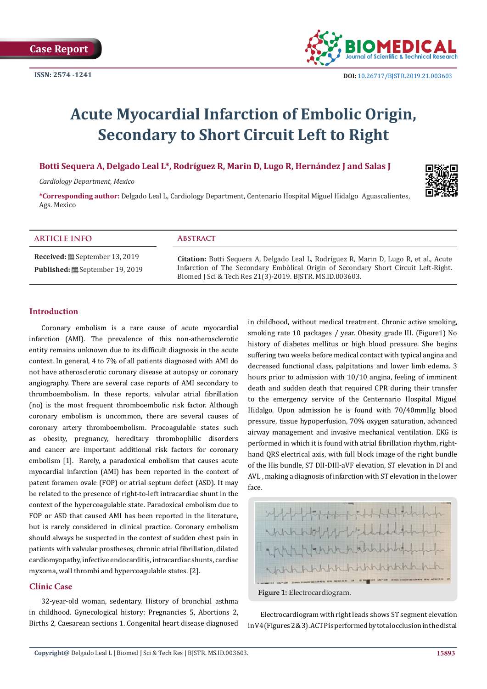

# **Acute Myocardial Infarction of Embolic Origin, Secondary to Short Circuit Left to Right**

# **Botti Sequera A, Delgado Leal L\*, Rodríguez R, Marin D, Lugo R, Hernández J and Salas J**

*Cardiology Department, Mexico* 

**\*Corresponding author:** Delgado Leal L, Cardiology Department, Centenario Hospital Míguel Hidalgo Aguascalientes, Ags. Mexico

#### **ARTICLE INFO Abstract**

**Received:** September 13, 2019 Published: <sup>[26]</sup> September 19, 2019

**Citation:** Botti Sequera A, Delgado Leal L, Rodríguez R, Marin D, Lugo R, et al., Acute Infarction of The Secondary Embòlical Origin of Secondary Short Circuit Left-Right. Biomed J Sci & Tech Res 21(3)-2019. BJSTR. MS.ID.003603.

#### **Introduction**

Coronary embolism is a rare cause of acute myocardial infarction (AMI). The prevalence of this non-atherosclerotic entity remains unknown due to its difficult diagnosis in the acute context. In general, 4 to 7% of all patients diagnosed with AMI do not have atherosclerotic coronary disease at autopsy or coronary angiography. There are several case reports of AMI secondary to thromboembolism. In these reports, valvular atrial fibrillation (no) is the most frequent thromboembolic risk factor. Although coronary embolism is uncommon, there are several causes of coronary artery thromboembolism. Procoagulable states such as obesity, pregnancy, hereditary thrombophilic disorders and cancer are important additional risk factors for coronary embolism [1]. Rarely, a paradoxical embolism that causes acute myocardial infarction (AMI) has been reported in the context of patent foramen ovale (FOP) or atrial septum defect (ASD). It may be related to the presence of right-to-left intracardiac shunt in the context of the hypercoagulable state. Paradoxical embolism due to FOP or ASD that caused AMI has been reported in the literature, but is rarely considered in clinical practice. Coronary embolism should always be suspected in the context of sudden chest pain in patients with valvular prostheses, chronic atrial fibrillation, dilated cardiomyopathy, infective endocarditis, intracardiac shunts, cardiac myxoma, wall thrombi and hypercoagulable states. [2].

### **Clínic Case**

32-year-old woman, sedentary. History of bronchial asthma in childhood. Gynecological history: Pregnancies 5, Abortions 2, Births 2, Caesarean sections 1. Congenital heart disease diagnosed

in childhood, without medical treatment. Chronic active smoking, smoking rate 10 packages / year. Obesity grade III. (Figure1) No history of diabetes mellitus or high blood pressure. She begins suffering two weeks before medical contact with typical angina and decreased functional class, palpitations and lower limb edema. 3 hours prior to admission with 10/10 angina, feeling of imminent death and sudden death that required CPR during their transfer to the emergency service of the Centernario Hospital Miguel Hidalgo. Upon admission he is found with 70/40mmHg blood pressure, tissue hypoperfusion, 70% oxygen saturation, advanced airway management and invasive mechanical ventilation. EKG is performed in which it is found with atrial fibrillation rhythm, righthand QRS electrical axis, with full block image of the right bundle of the His bundle, ST DII-DIII-aVF elevation, ST elevation in DI and AVL , making a diagnosis of infarction with ST elevation in the lower face.



**Figure 1:** Electrocardiogram.

Electrocardiogram with right leads shows ST segment elevation in V4 (Figures 2 & 3). ACTP is performed by total occlusion in the distal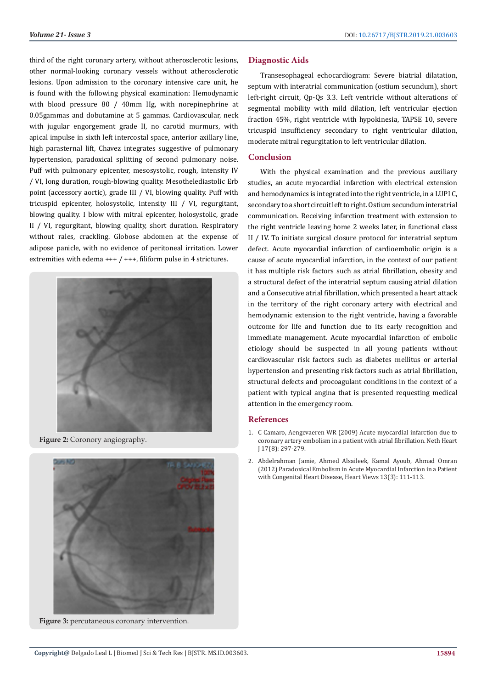third of the right coronary artery, without atherosclerotic lesions, other normal-looking coronary vessels without atherosclerotic lesions. Upon admission to the coronary intensive care unit, he is found with the following physical examination: Hemodynamic with blood pressure 80 / 40mm Hg, with norepinephrine at 0.05gammas and dobutamine at 5 gammas. Cardiovascular, neck with jugular engorgement grade II, no carotid murmurs, with apical impulse in sixth left intercostal space, anterior axillary line, high parasternal lift, Chavez integrates suggestive of pulmonary hypertension, paradoxical splitting of second pulmonary noise. Puff with pulmonary epicenter, mesosystolic, rough, intensity IV / VI, long duration, rough-blowing quality. Mesothelediastolic Erb point (accessory aortic), grade III / VI, blowing quality. Puff with tricuspid epicenter, holosystolic, intensity III / VI, regurgitant, blowing quality. I blow with mitral epicenter, holosystolic, grade II / VI, regurgitant, blowing quality, short duration. Respiratory without rales, crackling. Globose abdomen at the expense of adipose panicle, with no evidence of peritoneal irritation. Lower extremities with edema  $++$  /  $++$ , filiform pulse in 4 strictures.



**Figure 2:** Coronory angiography.



**Figure 3:** percutaneous coronary intervention.

#### **Diagnostic Aids**

Transesophageal echocardiogram: Severe biatrial dilatation, septum with interatrial communication (ostium secundum), short left-right circuit, Qp-Qs 3.3. Left ventricle without alterations of segmental mobility with mild dilation, left ventricular ejection fraction 45%, right ventricle with hypokinesia, TAPSE 10, severe tricuspid insufficiency secondary to right ventricular dilation, moderate mitral regurgitation to left ventricular dilation.

#### **Conclusion**

With the physical examination and the previous auxiliary studies, an acute myocardial infarction with electrical extension and hemodynamics is integrated into the right ventricle, in a LUPI C, secondary to a short circuit left to right. Ostium secundum interatrial communication. Receiving infarction treatment with extension to the right ventricle leaving home 2 weeks later, in functional class II / IV. To initiate surgical closure protocol for interatrial septum defect. Acute myocardial infarction of cardioembolic origin is a cause of acute myocardial infarction, in the context of our patient it has multiple risk factors such as atrial fibrillation, obesity and a structural defect of the interatrial septum causing atrial dilation and a Consecutive atrial fibrillation, which presented a heart attack in the territory of the right coronary artery with electrical and hemodynamic extension to the right ventricle, having a favorable outcome for life and function due to its early recognition and immediate management. Acute myocardial infarction of embolic etiology should be suspected in all young patients without cardiovascular risk factors such as diabetes mellitus or arterial hypertension and presenting risk factors such as atrial fibrillation, structural defects and procoagulant conditions in the context of a patient with typical angina that is presented requesting medical attention in the emergency room.

#### **References**

- 1. [C Camaro, Aengevaeren WR \(2009\) Acute myocardial infarction due to](https://www.ncbi.nlm.nih.gov/pubmed/19789700) [coronary artery embolism in a patient with atrial fibrillation. Neth Heart](https://www.ncbi.nlm.nih.gov/pubmed/19789700) [J 17\(8\): 297-279.](https://www.ncbi.nlm.nih.gov/pubmed/19789700)
- 2. [Abdelrahman Jamie, Ahmed Alsaileek, Kamal Ayoub, Ahmad Omran](https://www.ncbi.nlm.nih.gov/pmc/articles/PMC3503354/) [\(2012\) Paradoxical Embolism in Acute Myocardial Infarction in a Patient](https://www.ncbi.nlm.nih.gov/pmc/articles/PMC3503354/) [with Congenital Heart Disease, Heart Views 13\(3\): 111-113.](https://www.ncbi.nlm.nih.gov/pmc/articles/PMC3503354/)